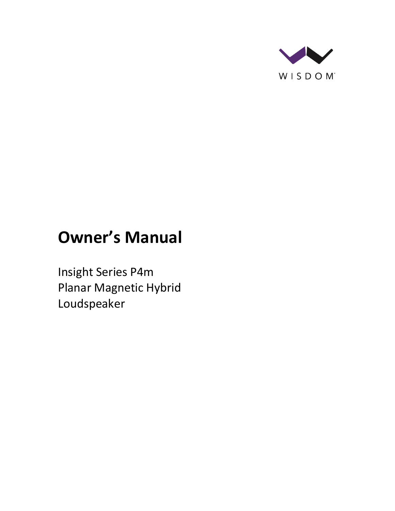

# **Owner's Manual**

Insight Series P4m Planar Magnetic Hybrid Loudspeaker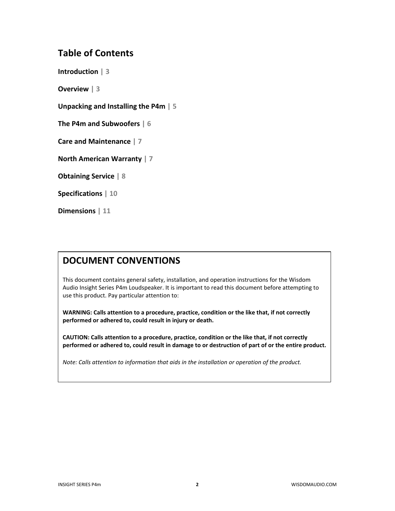# **Table of Contents**

**Introduction | 3**

**Overview | 3**

**Unpacking and Installing the P4m | 5**

**The P4m and Subwoofers | 6**

**Care and Maintenance | 7**

**North American Warranty | 7**

**Obtaining Service | 8**

**Specifications | 10**

**Dimensions | 11**

# **DOCUMENT CONVENTIONS**

This document contains general safety, installation, and operation instructions for the Wisdom Audio Insight Series P4m Loudspeaker. It is important to read this document before attempting to use this product. Pay particular attention to:

**WARNING: Calls attention to a procedure, practice, condition or the like that, if not correctly performed or adhered to, could result in injury or death.** 

**CAUTION: Calls attention to a procedure, practice, condition or the like that, if not correctly performed or adhered to, could result in damage to or destruction of part of or the entire product.** 

*Note: Calls attention to information that aids in the installation or operation of the product.*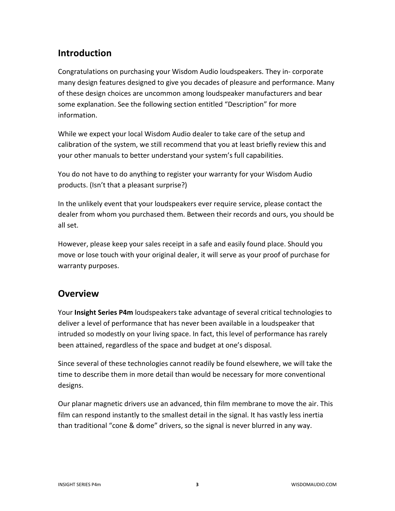# **Introduction**

Congratulations on purchasing your Wisdom Audio loudspeakers. They in- corporate many design features designed to give you decades of pleasure and performance. Many of these design choices are uncommon among loudspeaker manufacturers and bear some explanation. See the following section entitled "Description" for more information.

While we expect your local Wisdom Audio dealer to take care of the setup and calibration of the system, we still recommend that you at least briefly review this and your other manuals to better understand your system's full capabilities.

You do not have to do anything to register your warranty for your Wisdom Audio products. (Isn't that a pleasant surprise?)

In the unlikely event that your loudspeakers ever require service, please contact the dealer from whom you purchased them. Between their records and ours, you should be all set.

However, please keep your sales receipt in a safe and easily found place. Should you move or lose touch with your original dealer, it will serve as your proof of purchase for warranty purposes.

# **Overview**

Your **Insight Series P4m** loudspeakers take advantage of several critical technologies to deliver a level of performance that has never been available in a loudspeaker that intruded so modestly on your living space. In fact, this level of performance has rarely been attained, regardless of the space and budget at one's disposal.

Since several of these technologies cannot readily be found elsewhere, we will take the time to describe them in more detail than would be necessary for more conventional designs.

Our planar magnetic drivers use an advanced, thin film membrane to move the air. This film can respond instantly to the smallest detail in the signal. It has vastly less inertia than traditional "cone & dome" drivers, so the signal is never blurred in any way.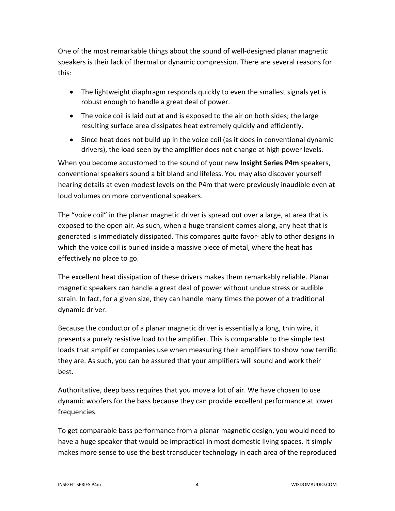One of the most remarkable things about the sound of well-designed planar magnetic speakers is their lack of thermal or dynamic compression. There are several reasons for this:

- The lightweight diaphragm responds quickly to even the smallest signals yet is robust enough to handle a great deal of power.
- The voice coil is laid out at and is exposed to the air on both sides; the large resulting surface area dissipates heat extremely quickly and efficiently.
- Since heat does not build up in the voice coil (as it does in conventional dynamic drivers), the load seen by the amplifier does not change at high power levels.

When you become accustomed to the sound of your new **Insight Series P4m** speakers, conventional speakers sound a bit bland and lifeless. You may also discover yourself hearing details at even modest levels on the P4m that were previously inaudible even at loud volumes on more conventional speakers.

The "voice coil" in the planar magnetic driver is spread out over a large, at area that is exposed to the open air. As such, when a huge transient comes along, any heat that is generated is immediately dissipated. This compares quite favor- ably to other designs in which the voice coil is buried inside a massive piece of metal, where the heat has effectively no place to go.

The excellent heat dissipation of these drivers makes them remarkably reliable. Planar magnetic speakers can handle a great deal of power without undue stress or audible strain. In fact, for a given size, they can handle many times the power of a traditional dynamic driver.

Because the conductor of a planar magnetic driver is essentially a long, thin wire, it presents a purely resistive load to the amplifier. This is comparable to the simple test loads that amplifier companies use when measuring their amplifiers to show how terrific they are. As such, you can be assured that your amplifiers will sound and work their best.

Authoritative, deep bass requires that you move a lot of air. We have chosen to use dynamic woofers for the bass because they can provide excellent performance at lower frequencies.

To get comparable bass performance from a planar magnetic design, you would need to have a huge speaker that would be impractical in most domestic living spaces. It simply makes more sense to use the best transducer technology in each area of the reproduced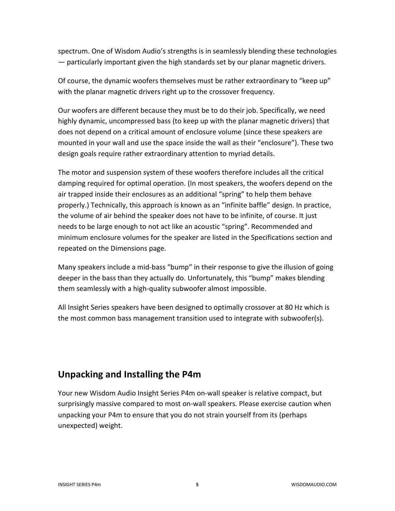spectrum. One of Wisdom Audio's strengths is in seamlessly blending these technologies — particularly important given the high standards set by our planar magnetic drivers.

Of course, the dynamic woofers themselves must be rather extraordinary to "keep up" with the planar magnetic drivers right up to the crossover frequency.

Our woofers are different because they must be to do their job. Specifically, we need highly dynamic, uncompressed bass (to keep up with the planar magnetic drivers) that does not depend on a critical amount of enclosure volume (since these speakers are mounted in your wall and use the space inside the wall as their "enclosure"). These two design goals require rather extraordinary attention to myriad details.

The motor and suspension system of these woofers therefore includes all the critical damping required for optimal operation. (In most speakers, the woofers depend on the air trapped inside their enclosures as an additional "spring" to help them behave properly.) Technically, this approach is known as an "infinite baffle" design. In practice, the volume of air behind the speaker does not have to be infinite, of course. It just needs to be large enough to not act like an acoustic "spring". Recommended and minimum enclosure volumes for the speaker are listed in the Specifications section and repeated on the Dimensions page.

Many speakers include a mid-bass "bump" in their response to give the illusion of going deeper in the bass than they actually do. Unfortunately, this "bump" makes blending them seamlessly with a high-quality subwoofer almost impossible.

All Insight Series speakers have been designed to optimally crossover at 80 Hz which is the most common bass management transition used to integrate with subwoofer(s).

# **Unpacking and Installing the P4m**

Your new Wisdom Audio Insight Series P4m on-wall speaker is relative compact, but surprisingly massive compared to most on-wall speakers. Please exercise caution when unpacking your P4m to ensure that you do not strain yourself from its (perhaps unexpected) weight.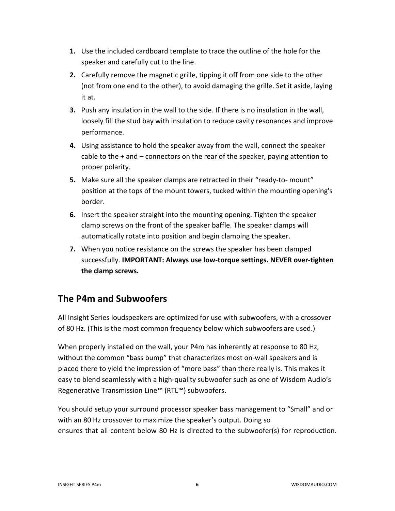- **1.** Use the included cardboard template to trace the outline of the hole for the speaker and carefully cut to the line.
- **2.** Carefully remove the magnetic grille, tipping it off from one side to the other (not from one end to the other), to avoid damaging the grille. Set it aside, laying it at.
- **3.** Push any insulation in the wall to the side. If there is no insulation in the wall, loosely fill the stud bay with insulation to reduce cavity resonances and improve performance.
- **4.** Using assistance to hold the speaker away from the wall, connect the speaker cable to the + and – connectors on the rear of the speaker, paying attention to proper polarity.
- **5.** Make sure all the speaker clamps are retracted in their "ready-to- mount" position at the tops of the mount towers, tucked within the mounting opening's border.
- **6.** Insert the speaker straight into the mounting opening. Tighten the speaker clamp screws on the front of the speaker baffle. The speaker clamps will automatically rotate into position and begin clamping the speaker.
- **7.** When you notice resistance on the screws the speaker has been clamped successfully. **IMPORTANT: Always use low-torque settings. NEVER over-tighten the clamp screws.**

# **The P4m and Subwoofers**

All Insight Series loudspeakers are optimized for use with subwoofers, with a crossover of 80 Hz. (This is the most common frequency below which subwoofers are used.)

When properly installed on the wall, your P4m has inherently at response to 80 Hz, without the common "bass bump" that characterizes most on-wall speakers and is placed there to yield the impression of "more bass" than there really is. This makes it easy to blend seamlessly with a high-quality subwoofer such as one of Wisdom Audio's Regenerative Transmission Line™ (RTL™) subwoofers.

You should setup your surround processor speaker bass management to "Small" and or with an 80 Hz crossover to maximize the speaker's output. Doing so ensures that all content below 80 Hz is directed to the subwoofer(s) for reproduction.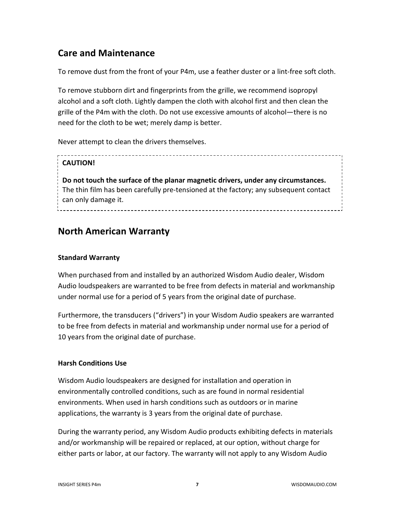# **Care and Maintenance**

To remove dust from the front of your P4m, use a feather duster or a lint-free soft cloth.

To remove stubborn dirt and fingerprints from the grille, we recommend isopropyl alcohol and a soft cloth. Lightly dampen the cloth with alcohol first and then clean the grille of the P4m with the cloth. Do not use excessive amounts of alcohol—there is no need for the cloth to be wet; merely damp is better.

Never attempt to clean the drivers themselves.

## **CAUTION!**

**Do not touch the surface of the planar magnetic drivers, under any circumstances.** The thin film has been carefully pre-tensioned at the factory; any subsequent contact can only damage it.

# **North American Warranty**

## **Standard Warranty**

When purchased from and installed by an authorized Wisdom Audio dealer, Wisdom Audio loudspeakers are warranted to be free from defects in material and workmanship under normal use for a period of 5 years from the original date of purchase.

Furthermore, the transducers ("drivers") in your Wisdom Audio speakers are warranted to be free from defects in material and workmanship under normal use for a period of 10 years from the original date of purchase.

### **Harsh Conditions Use**

Wisdom Audio loudspeakers are designed for installation and operation in environmentally controlled conditions, such as are found in normal residential environments. When used in harsh conditions such as outdoors or in marine applications, the warranty is 3 years from the original date of purchase.

During the warranty period, any Wisdom Audio products exhibiting defects in materials and/or workmanship will be repaired or replaced, at our option, without charge for either parts or labor, at our factory. The warranty will not apply to any Wisdom Audio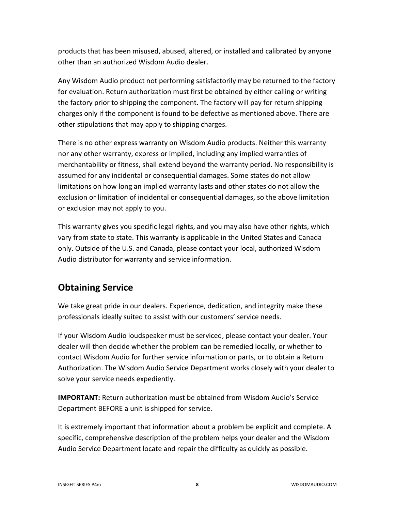products that has been misused, abused, altered, or installed and calibrated by anyone other than an authorized Wisdom Audio dealer.

Any Wisdom Audio product not performing satisfactorily may be returned to the factory for evaluation. Return authorization must first be obtained by either calling or writing the factory prior to shipping the component. The factory will pay for return shipping charges only if the component is found to be defective as mentioned above. There are other stipulations that may apply to shipping charges.

There is no other express warranty on Wisdom Audio products. Neither this warranty nor any other warranty, express or implied, including any implied warranties of merchantability or fitness, shall extend beyond the warranty period. No responsibility is assumed for any incidental or consequential damages. Some states do not allow limitations on how long an implied warranty lasts and other states do not allow the exclusion or limitation of incidental or consequential damages, so the above limitation or exclusion may not apply to you.

This warranty gives you specific legal rights, and you may also have other rights, which vary from state to state. This warranty is applicable in the United States and Canada only. Outside of the U.S. and Canada, please contact your local, authorized Wisdom Audio distributor for warranty and service information.

# **Obtaining Service**

We take great pride in our dealers. Experience, dedication, and integrity make these professionals ideally suited to assist with our customers' service needs.

If your Wisdom Audio loudspeaker must be serviced, please contact your dealer. Your dealer will then decide whether the problem can be remedied locally, or whether to contact Wisdom Audio for further service information or parts, or to obtain a Return Authorization. The Wisdom Audio Service Department works closely with your dealer to solve your service needs expediently.

**IMPORTANT:** Return authorization must be obtained from Wisdom Audio's Service Department BEFORE a unit is shipped for service.

It is extremely important that information about a problem be explicit and complete. A specific, comprehensive description of the problem helps your dealer and the Wisdom Audio Service Department locate and repair the difficulty as quickly as possible.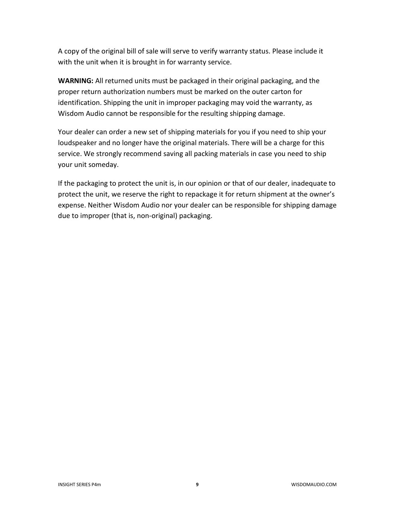A copy of the original bill of sale will serve to verify warranty status. Please include it with the unit when it is brought in for warranty service.

**WARNING:** All returned units must be packaged in their original packaging, and the proper return authorization numbers must be marked on the outer carton for identification. Shipping the unit in improper packaging may void the warranty, as Wisdom Audio cannot be responsible for the resulting shipping damage.

Your dealer can order a new set of shipping materials for you if you need to ship your loudspeaker and no longer have the original materials. There will be a charge for this service. We strongly recommend saving all packing materials in case you need to ship your unit someday.

If the packaging to protect the unit is, in our opinion or that of our dealer, inadequate to protect the unit, we reserve the right to repackage it for return shipment at the owner's expense. Neither Wisdom Audio nor your dealer can be responsible for shipping damage due to improper (that is, non-original) packaging.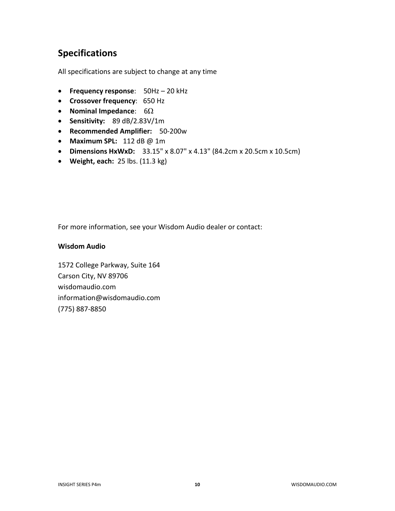# **Specifications**

All specifications are subject to change at any time

- **Frequency response**: 50Hz 20 kHz
- **Crossover frequency**: 650 Hz
- **Nominal Impedance**: 6Ω
- **Sensitivity:** 89 dB/2.83V/1m
- **Recommended Amplifier:** 50-200w
- **Maximum SPL:** 112 dB @ 1m
- **Dimensions HxWxD:** 33.15" x 8.07" x 4.13" (84.2cm x 20.5cm x 10.5cm)
- **Weight, each:** 25 lbs. (11.3 kg)

For more information, see your Wisdom Audio dealer or contact:

#### **Wisdom Audio**

1572 College Parkway, Suite 164 Carson City, NV 89706 wisdomaudio.com information@wisdomaudio.com (775) 887-8850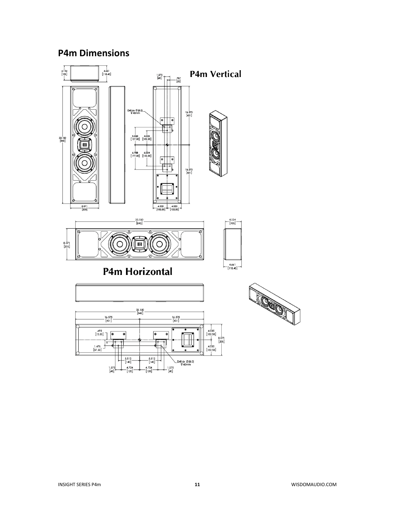## **P4m Dimensions**